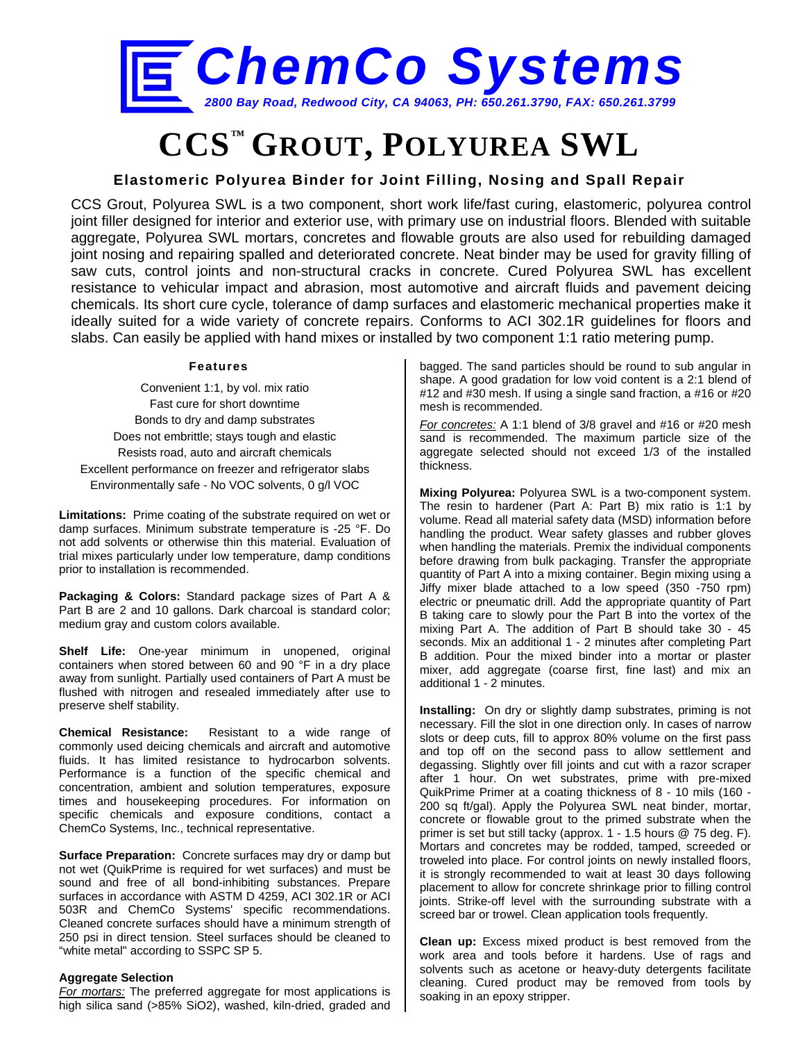

# **CCS™ GROUT, POLYUREA SWL**

### **Elastomeric Polyurea Binder for Joint Filling, Nosing and Spall Repair**

CCS Grout, Polyurea SWL is a two component, short work life/fast curing, elastomeric, polyurea control joint filler designed for interior and exterior use, with primary use on industrial floors. Blended with suitable aggregate, Polyurea SWL mortars, concretes and flowable grouts are also used for rebuilding damaged joint nosing and repairing spalled and deteriorated concrete. Neat binder may be used for gravity filling of saw cuts, control joints and non-structural cracks in concrete. Cured Polyurea SWL has excellent resistance to vehicular impact and abrasion, most automotive and aircraft fluids and pavement deicing chemicals. Its short cure cycle, tolerance of damp surfaces and elastomeric mechanical properties make it ideally suited for a wide variety of concrete repairs. Conforms to ACI 302.1R guidelines for floors and slabs. Can easily be applied with hand mixes or installed by two component 1:1 ratio metering pump.

#### **Features**

Convenient 1:1, by vol. mix ratio Fast cure for short downtime Bonds to dry and damp substrates Does not embrittle; stays tough and elastic Resists road, auto and aircraft chemicals Excellent performance on freezer and refrigerator slabs Environmentally safe - No VOC solvents, 0 g/l VOC

**Limitations:** Prime coating of the substrate required on wet or damp surfaces. Minimum substrate temperature is -25 °F. Do not add solvents or otherwise thin this material. Evaluation of trial mixes particularly under low temperature, damp conditions prior to installation is recommended.

**Packaging & Colors:** Standard package sizes of Part A & Part B are 2 and 10 gallons. Dark charcoal is standard color; medium gray and custom colors available.

**Shelf Life:** One-year minimum in unopened, original containers when stored between 60 and 90 °F in a dry place away from sunlight. Partially used containers of Part A must be flushed with nitrogen and resealed immediately after use to preserve shelf stability.

**Chemical Resistance:** Resistant to a wide range of commonly used deicing chemicals and aircraft and automotive fluids. It has limited resistance to hydrocarbon solvents. Performance is a function of the specific chemical and concentration, ambient and solution temperatures, exposure times and housekeeping procedures. For information on specific chemicals and exposure conditions, contact a ChemCo Systems, Inc., technical representative.

**Surface Preparation:** Concrete surfaces may dry or damp but not wet (QuikPrime is required for wet surfaces) and must be sound and free of all bond-inhibiting substances. Prepare surfaces in accordance with ASTM D 4259, ACI 302.1R or ACI 503R and ChemCo Systems' specific recommendations. Cleaned concrete surfaces should have a minimum strength of 250 psi in direct tension. Steel surfaces should be cleaned to "white metal" according to SSPC SP 5.

#### **Aggregate Selection**

*For mortars:* The preferred aggregate for most applications is high silica sand (>85% SiO2), washed, kiln-dried, graded and bagged. The sand particles should be round to sub angular in shape. A good gradation for low void content is a 2:1 blend of #12 and #30 mesh. If using a single sand fraction, a #16 or #20 mesh is recommended.

*For concretes:* A 1:1 blend of 3/8 gravel and #16 or #20 mesh sand is recommended. The maximum particle size of the aggregate selected should not exceed 1/3 of the installed thickness.

**Mixing Polyurea:** Polyurea SWL is a two-component system. The resin to hardener (Part A: Part B) mix ratio is 1:1 by volume. Read all material safety data (MSD) information before handling the product. Wear safety glasses and rubber gloves when handling the materials. Premix the individual components before drawing from bulk packaging. Transfer the appropriate quantity of Part A into a mixing container. Begin mixing using a Jiffy mixer blade attached to a low speed (350 -750 rpm) electric or pneumatic drill. Add the appropriate quantity of Part B taking care to slowly pour the Part B into the vortex of the mixing Part A. The addition of Part B should take 30 - 45 seconds. Mix an additional 1 - 2 minutes after completing Part B addition. Pour the mixed binder into a mortar or plaster mixer, add aggregate (coarse first, fine last) and mix an additional 1 - 2 minutes.

**Installing:** On dry or slightly damp substrates, priming is not necessary. Fill the slot in one direction only. In cases of narrow slots or deep cuts, fill to approx 80% volume on the first pass and top off on the second pass to allow settlement and degassing. Slightly over fill joints and cut with a razor scraper after 1 hour. On wet substrates, prime with pre-mixed QuikPrime Primer at a coating thickness of 8 - 10 mils (160 - 200 sq ft/gal). Apply the Polyurea SWL neat binder, mortar, concrete or flowable grout to the primed substrate when the primer is set but still tacky (approx. 1 - 1.5 hours @ 75 deg. F). Mortars and concretes may be rodded, tamped, screeded or troweled into place. For control joints on newly installed floors, it is strongly recommended to wait at least 30 days following placement to allow for concrete shrinkage prior to filling control joints. Strike-off level with the surrounding substrate with a screed bar or trowel. Clean application tools frequently.

**Clean up:** Excess mixed product is best removed from the work area and tools before it hardens. Use of rags and solvents such as acetone or heavy-duty detergents facilitate cleaning. Cured product may be removed from tools by soaking in an epoxy stripper.